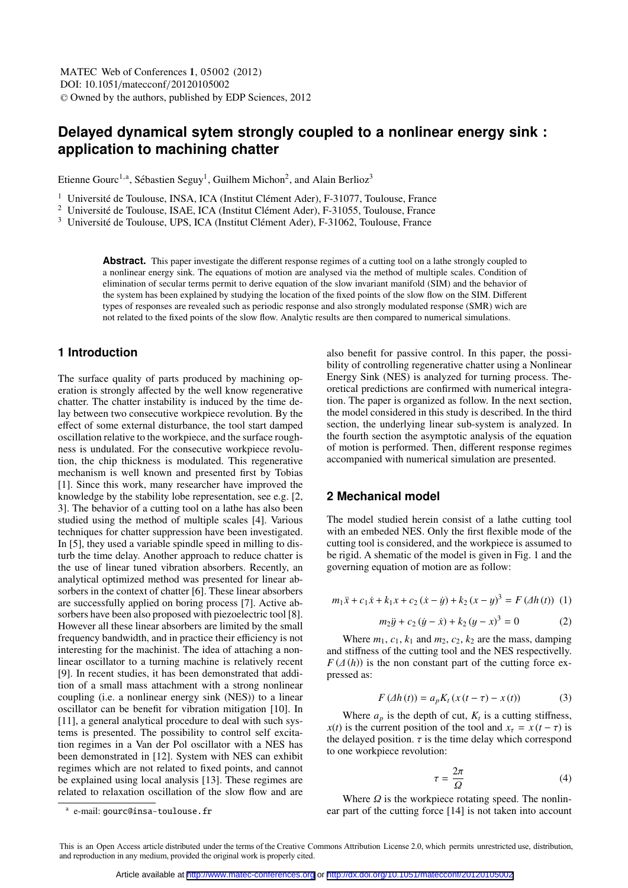# **Delayed dynamical sytem strongly coupled to a nonlinear energy sink : application to machining chatter**

Etienne Gourc<sup>1,a</sup>, Sébastien Seguy<sup>1</sup>, Guilhem Michon<sup>2</sup>, and Alain Berlioz<sup>3</sup>

 $1$  Université de Toulouse, INSA, ICA (Institut Clément Ader), F-31077, Toulouse, France

 $2$  Université de Toulouse, ISAE, ICA (Institut Clément Ader), F-31055, Toulouse, France

 $3$  Université de Toulouse, UPS, ICA (Institut Clément Ader), F-31062, Toulouse, France

**Abstract.** This paper investigate the different response regimes of a cutting tool on a lathe strongly coupled to a nonlinear energy sink. The equations of motion are analysed via the method of multiple scales. Condition of elimination of secular terms permit to derive equation of the slow invariant manifold (SIM) and the behavior of the system has been explained by studying the location of the fixed points of the slow flow on the SIM. Different types of responses are revealed such as periodic response and also strongly modulated response (SMR) wich are not related to the fixed points of the slow flow. Analytic results are then compared to numerical simulations.

# **1 Introduction**

The surface quality of parts produced by machining operation is strongly affected by the well know regenerative chatter. The chatter instability is induced by the time delay between two consecutive workpiece revolution. By the effect of some external disturbance, the tool start damped oscillation relative to the workpiece, and the surface roughness is undulated. For the consecutive workpiece revolution, the chip thickness is modulated. This regenerative mechanism is well known and presented first by Tobias [1]. Since this work, many researcher have improved the knowledge by the stability lobe representation, see e.g. [2, 3]. The behavior of a cutting tool on a lathe has also been studied using the method of multiple scales [4]. Various techniques for chatter suppression have been investigated. In [5], they used a variable spindle speed in milling to disturb the time delay. Another approach to reduce chatter is the use of linear tuned vibration absorbers. Recently, an analytical optimized method was presented for linear absorbers in the context of chatter [6]. These linear absorbers are successfully applied on boring process [7]. Active absorbers have been also proposed with piezoelectric tool [8]. However all these linear absorbers are limited by the small frequency bandwidth, and in practice their efficiency is not interesting for the machinist. The idea of attaching a nonlinear oscillator to a turning machine is relatively recent [9]. In recent studies, it has been demonstrated that addition of a small mass attachment with a strong nonlinear coupling (i.e. a nonlinear energy sink (NES)) to a linear oscillator can be benefit for vibration mitigation [10]. In [11], a general analytical procedure to deal with such systems is presented. The possibility to control self excitation regimes in a Van der Pol oscillator with a NES has been demonstrated in [12]. System with NES can exhibit regimes which are not related to fixed points, and cannot be explained using local analysis [13]. These regimes are related to relaxation oscillation of the slow flow and are

also benefit for passive control. In this paper, the possibility of controlling regenerative chatter using a Nonlinear Energy Sink (NES) is analyzed for turning process. Theoretical predictions are confirmed with numerical integration. The paper is organized as follow. In the next section, the model considered in this study is described. In the third section, the underlying linear sub-system is analyzed. In the fourth section the asymptotic analysis of the equation of motion is performed. Then, different response regimes accompanied with numerical simulation are presented.

### **2 Mechanical model**

The model studied herein consist of a lathe cutting tool with an embeded NES. Only the first flexible mode of the cutting tool is considered, and the workpiece is assumed to be rigid. A shematic of the model is given in Fig. 1 and the governing equation of motion are as follow:

$$
m_1\ddot{x} + c_1\dot{x} + k_1x + c_2(\dot{x} - \dot{y}) + k_2(x - y)^3 = F(\Delta h(t)) \tag{1}
$$

$$
m_2 \ddot{y} + c_2 ( \dot{y} - \dot{x}) + k_2 (y - x)^3 = 0 \tag{2}
$$

Where  $m_1$ ,  $c_1$ ,  $k_1$  and  $m_2$ ,  $c_2$ ,  $k_2$  are the mass, damping and stiffness of the cutting tool and the NES respectivelly.  $F(\Delta(h))$  is the non constant part of the cutting force expressed as:

$$
F(\Delta h(t)) = a_p K_t (x(t - \tau) - x(t)) \tag{3}
$$

Where  $a_p$  is the depth of cut,  $K_t$  is a cutting stiffness, *x*(*t*) is the current position of the tool and  $x<sub>\tau</sub> = x(t - \tau)$  is the delayed position.  $\tau$  is the time delay which correspond to one workpiece revolution:

$$
\tau = \frac{2\pi}{\Omega} \tag{4}
$$

Where  $\Omega$  is the workpiece rotating speed. The nonlin-<br>part of the cutting force [14] is not taken into account ear part of the cutting force [14] is not taken into account

a e-mail: gourc@insa-toulouse.fr

This is an Open Access article distributed under the terms of the Creative Commons Attribution License 2.0, which permits unrestricted use, distribution, and reproduction in any medium, provided the original work is properly cited.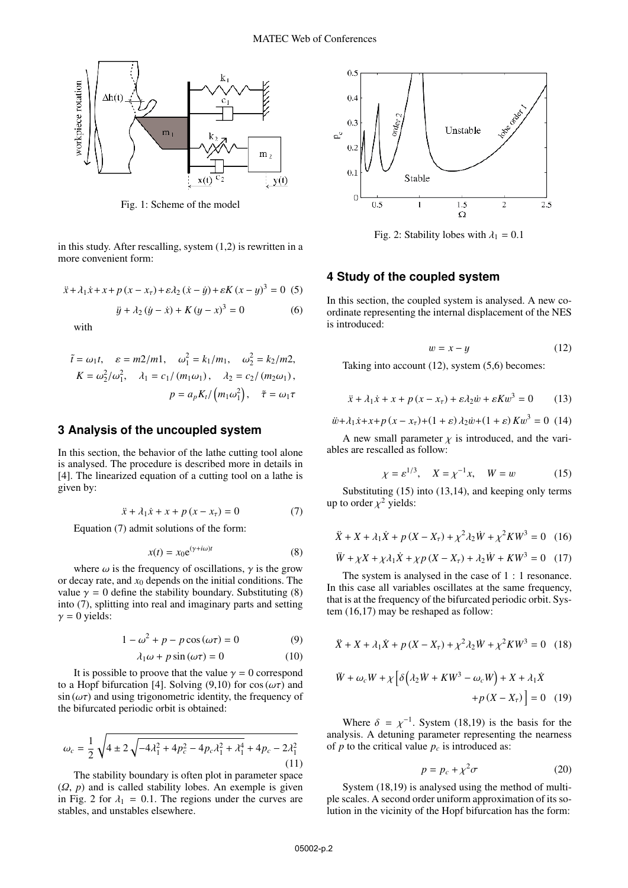

Fig. 1: Scheme of the model

in this study. After rescalling, system (1,2) is rewritten in a more convenient form:

$$
\ddot{x} + \lambda_1 \dot{x} + x + p(x - x_\tau) + \varepsilon \lambda_2 (\dot{x} - \dot{y}) + \varepsilon K (x - y)^3 = 0
$$
 (5)

$$
\ddot{y} + \lambda_2 (\dot{y} - \dot{x}) + K (y - x)^3 = 0 \tag{6}
$$

with

$$
\tilde{t} = \omega_1 t, \quad \varepsilon = m2/m1, \quad \omega_1^2 = k_1/m_1, \quad \omega_2^2 = k_2/m2,
$$
\n
$$
K = \omega_2^2/\omega_1^2, \quad \lambda_1 = c_1/(m_1\omega_1), \quad \lambda_2 = c_2/(m_2\omega_1),
$$
\n
$$
p = a_p K_t/(m_1\omega_1^2), \quad \tilde{\tau} = \omega_1 \tau
$$

### **3 Analysis of the uncoupled system**

In this section, the behavior of the lathe cutting tool alone is analysed. The procedure is described more in details in [4]. The linearized equation of a cutting tool on a lathe is given by:

$$
\ddot{x} + \lambda_1 \dot{x} + x + p(x - x_\tau) = 0 \tag{7}
$$

Equation (7) admit solutions of the form:

$$
x(t) = x_0 e^{(\gamma + i\omega)t}
$$
 (8)

where  $\omega$  is the frequency of oscillations,  $\gamma$  is the grow or decay rate, and  $x_0$  depends on the initial conditions. The value  $\gamma = 0$  define the stability boundary. Substituting (8) into (7), splitting into real and imaginary parts and setting  $\gamma = 0$  yields:

$$
1 - \omega^2 + p - p \cos(\omega \tau) = 0 \tag{9}
$$

$$
\lambda_1 \omega + p \sin(\omega \tau) = 0 \tag{10}
$$

It is possible to proove that the value  $\gamma = 0$  correspond<br>Hopf bifurcation [4] Solving (9.10) for cos( $\omega \tau$ ) and to a Hopf bifurcation [4]. Solving (9,10) for cos ( $\omega\tau$ ) and  $\sin(\omega \tau)$  and using trigonometric identity, the frequency of the bifurcated periodic orbit is obtained:

$$
\omega_c = \frac{1}{2} \sqrt{4 \pm 2 \sqrt{-4\lambda_1^2 + 4p_c^2 - 4p_c\lambda_1^2 + \lambda_1^4 + 4p_c - 2\lambda_1^2}}
$$
\n(11)

The stability boundary is often plot in parameter space  $(Q, p)$  and is called stability lobes. An exemple is given in Fig. 2 for  $\lambda_1 = 0.1$ . The regions under the curves are stables, and unstables elsewhere.



Fig. 2: Stability lobes with  $\lambda_1 = 0.1$ 

# **4 Study of the coupled system**

In this section, the coupled system is analysed. A new coordinate representing the internal displacement of the NES is introduced:

$$
w = x - y \tag{12}
$$

Taking into account (12), system (5,6) becomes:

$$
\ddot{x} + \lambda_1 \dot{x} + x + p(x - x_\tau) + \varepsilon \lambda_2 \dot{w} + \varepsilon K w^3 = 0 \qquad (13)
$$

$$
\ddot{w} + \lambda_1 \dot{x} + x + p(x - x_\tau) + (1 + \varepsilon) \lambda_2 \dot{w} + (1 + \varepsilon) K w^3 = 0 \tag{14}
$$

A new small parameter  $\chi$  is introduced, and the variables are rescalled as follow:

$$
\chi = \varepsilon^{1/3}, \quad X = \chi^{-1}x, \quad W = w
$$
 (15)

Substituting (15) into (13,14), and keeping only terms up to order  $\chi^2$  yields:

$$
\ddot{X} + X + \lambda_1 \dot{X} + p(X - X_\tau) + \chi^2 \lambda_2 \dot{W} + \chi^2 K W^3 = 0 \quad (16)
$$

$$
\ddot{W} + \chi X + \chi \lambda_1 \dot{X} + \chi p (X - X_\tau) + \lambda_2 \dot{W} + K W^3 = 0 \quad (17)
$$

The system is analysed in the case of 1 : 1 resonance. In this case all variables oscillates at the same frequency, that is at the frequency of the bifurcated periodic orbit. System (16,17) may be reshaped as follow:

$$
\ddot{X} + X + \lambda_1 \dot{X} + p(X - X_\tau) + \chi^2 \lambda_2 \dot{W} + \chi^2 K W^3 = 0 \quad (18)
$$

$$
\ddot{W} + \omega_c W + \chi \left[ \delta \left( \lambda_2 \dot{W} + KW^3 - \omega_c W \right) + X + \lambda_1 \dot{X} \right. \\ \left. + p \left( X - X_\tau \right) \right] = 0 \quad (19)
$$

Where  $\delta = \chi^{-1}$ . System (18,19) is the basis for the lysis. A detuning parameter representing the pearness analysis. A detuning parameter representing the nearness of *p* to the critical value  $p_c$  is introduced as:

$$
p = p_c + \chi^2 \sigma \tag{20}
$$

System (18,19) is analysed using the method of multiple scales. A second order uniform approximation of its solution in the vicinity of the Hopf bifurcation has the form: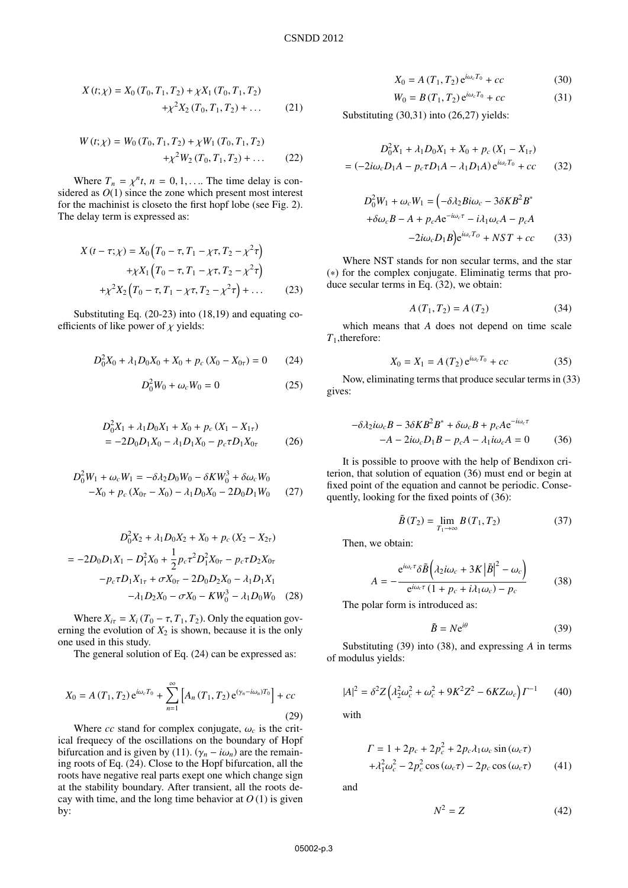$$
X(t; \chi) = X_0(T_0, T_1, T_2) + \chi X_1(T_0, T_1, T_2)
$$
  
+ 
$$
\chi^2 X_2(T_0, T_1, T_2) + \dots
$$
 (21)

$$
W(t; \chi) = W_0(T_0, T_1, T_2) + \chi W_1(T_0, T_1, T_2)
$$
  
+  $\chi^2 W_2(T_0, T_1, T_2) + \dots$  (22)

Where  $T_n = \chi^n t$ ,  $n = 0, 1, \ldots$  The time delay is contracted as  $O(1)$  since the zone which present most interest sidered as  $O(1)$  since the zone which present most interest for the machinist is closeto the first hopf lobe (see Fig. 2). The delay term is expressed as:

$$
X(t - \tau; \chi) = X_0 \left( T_0 - \tau, T_1 - \chi \tau, T_2 - \chi^2 \tau \right)
$$
  
+ 
$$
\chi X_1 \left( T_0 - \tau, T_1 - \chi \tau, T_2 - \chi^2 \tau \right)
$$
  
+ 
$$
\chi^2 X_2 \left( T_0 - \tau, T_1 - \chi \tau, T_2 - \chi^2 \tau \right) + \dots
$$
 (23)

Substituting Eq. (20-23) into (18,19) and equating coefficients of like power of  $\chi$  yields:

$$
D_0^2 X_0 + \lambda_1 D_0 X_0 + X_0 + p_c (X_0 - X_{0\tau}) = 0 \qquad (24)
$$

$$
D_0^2 W_0 + \omega_c W_0 = 0 \tag{25}
$$

$$
D_0^2 X_1 + \lambda_1 D_0 X_1 + X_0 + p_c (X_1 - X_{1\tau})
$$
  
= -2D\_0 D\_1 X\_0 - \lambda\_1 D\_1 X\_0 - p\_c \tau D\_1 X\_{0\tau} (26)

$$
D_0^2 W_1 + \omega_c W_1 = -\delta \lambda_2 D_0 W_0 - \delta K W_0^3 + \delta \omega_c W_0
$$
  
-X<sub>0</sub> + p<sub>c</sub> (X<sub>0 $\tau$</sub>  - X<sub>0</sub>) -  $\lambda_1 D_0 X_0 - 2D_0 D_1 W_0$  (27)

$$
D_0^2 X_2 + \lambda_1 D_0 X_2 + X_0 + p_c (X_2 - X_{2\tau})
$$
  
=  $-2D_0 D_1 X_1 - D_1^2 X_0 + \frac{1}{2} p_c \tau^2 D_1^2 X_{0\tau} - p_c \tau D_2 X_{0\tau}$   
 $-p_c \tau D_1 X_{1\tau} + \sigma X_{0\tau} - 2D_0 D_2 X_0 - \lambda_1 D_1 X_1$   
 $- \lambda_1 D_2 X_0 - \sigma X_0 - K W_0^3 - \lambda_1 D_0 W_0$  (28)

Where  $X_{i\tau} = X_i (T_0 - \tau, T_1, T_2)$ . Only the equation governing the evolution of  $X_2$  is shown, because it is the only one used in this study.

The general solution of Eq. (24) can be expressed as:

$$
X_0 = A(T_1, T_2) e^{i\omega_c T_0} + \sum_{n=1}^{\infty} \left[ A_n(T_1, T_2) e^{(\gamma_n - i\omega_n)T_0} \right] + cc
$$
\n(29)

Where *cc* stand for complex conjugate,  $\omega_c$  is the critical frequecy of the oscillations on the boundary of Hopf bifurcation and is given by (11).  $(\gamma_n - i\omega_n)$  are the remaining roots of Eq. (24). Close to the Hopf bifurcation, all the roots have negative real parts exept one which change sign at the stability boundary. After transient, all the roots decay with time, and the long time behavior at  $O(1)$  is given by:

$$
X_0 = A(T_1, T_2) e^{i\omega_c T_0} + cc
$$
 (30)

$$
W_0 = B(T_1, T_2) e^{i\omega_c T_0} + cc
$$
 (31)

Substituting (30,31) into (26,27) yields:

$$
D_0^2 X_1 + \lambda_1 D_0 X_1 + X_0 + p_c (X_1 - X_{1\tau})
$$
  
=  $(-2i\omega_c D_1 A - p_c \tau D_1 A - \lambda_1 D_1 A) e^{i\omega_c T_0} + cc$  (32)

$$
D_0^2 W_1 + \omega_c W_1 = \left(-\delta \lambda_2 B i \omega_c - 3\delta K B^2 B^* + \delta \omega_c B - A + p_c A e^{-i\omega_c \tau} - i \lambda_1 \omega_c A - p_c A - 2i \omega_c D_1 B \right) e^{i\omega_c T_o} + N S T + c c \qquad (33)
$$

Where NST stands for non secular terms, and the star (∗) for the complex conjugate. Eliminatig terms that produce secular terms in Eq. (32), we obtain:

$$
A(T_1, T_2) = A(T_2)
$$
 (34)

which means that *A* does not depend on time scale *T*1,therefore:

$$
X_0 = X_1 = A(T_2) e^{i\omega_c T_0} + cc \tag{35}
$$

Now, eliminating terms that produce secular terms in (33) gives:

$$
-\delta\lambda_2 i\omega_c B - 3\delta KB^2 B^* + \delta\omega_c B + p_c A e^{-i\omega_c \tau}
$$

$$
-A - 2i\omega_c D_1 B - p_c A - \lambda_1 i\omega_c A = 0 \tag{36}
$$

It is possible to proove with the help of Bendixon criterion, that solution of equation (36) must end or begin at fixed point of the equation and cannot be periodic. Consequently, looking for the fixed points of (36):

$$
\tilde{B}(T_2) = \lim_{T_1 \to \infty} B(T_1, T_2) \tag{37}
$$

Then, we obtain:

$$
A = -\frac{e^{i\omega_c \tau} \delta \tilde{B} \left( \lambda_2 i\omega_c + 3K |\tilde{B}|^2 - \omega_c \right)}{e^{i\omega_c \tau} (1 + p_c + i\lambda_1 \omega_c) - p_c}
$$
(38)

The polar form is introduced as:

$$
\tilde{B} = N e^{i\theta} \tag{39}
$$

Substituting (39) into (38), and expressing *A* in terms of modulus yields:

$$
|A|^2 = \delta^2 Z \left(\lambda_2^2 \omega_c^2 + \omega_c^2 + 9K^2 Z^2 - 6KZ\omega_c\right) \Gamma^{-1} \tag{40}
$$

with

$$
\Gamma = 1 + 2p_c + 2p_c^2 + 2p_c \lambda_1 \omega_c \sin(\omega_c \tau)
$$
  
+  $\lambda_1^2 \omega_c^2 - 2p_c^2 \cos(\omega_c \tau) - 2p_c \cos(\omega_c \tau)$  (41)

and

$$
N^2 = Z \tag{42}
$$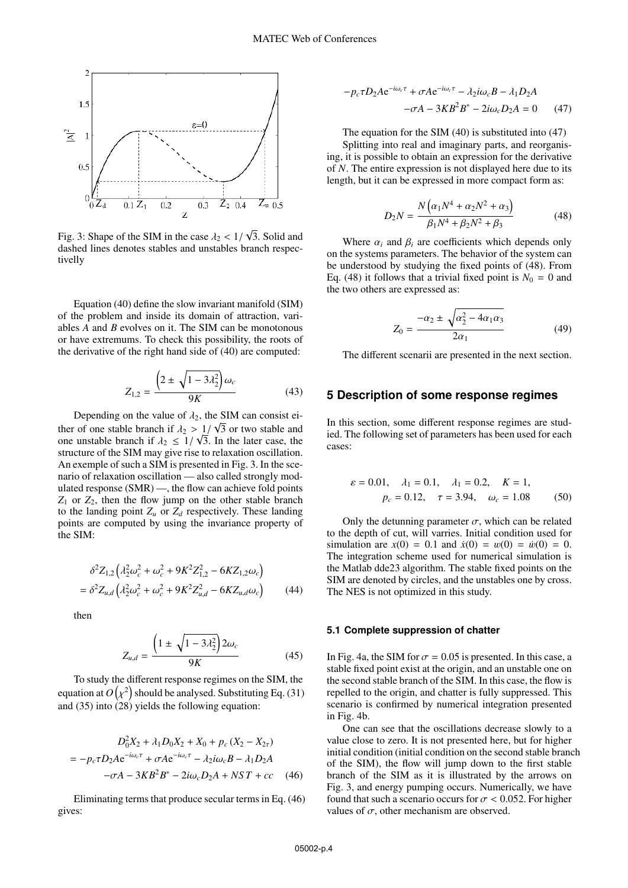

Fig. 3: Shape of the SIM in the case  $\lambda_2 < 1/\lambda_1$  dashed lines denotes stables and unstables l 3. Solid and dashed lines denotes stables and unstables branch respectivelly

Equation (40) define the slow invariant manifold (SIM) of the problem and inside its domain of attraction, variables *A* and *B* evolves on it. The SIM can be monotonous or have extremums. To check this possibility, the roots of the derivative of the right hand side of (40) are computed:

$$
Z_{1,2} = \frac{\left(2 \pm \sqrt{1 - 3\lambda_2^2}\right)\omega_c}{9K} \tag{43}
$$

Depending on the value of  $\lambda_2$ , the SIM can consist ei-<br>∴ of one stable branch if  $\lambda_2 > 1/\sqrt{3}$  or two stable and ther of one stable branch if  $\lambda_2 > 1/\sqrt{3}$  or two stable and one unstable branch if  $\lambda_2 < 1/\sqrt{3}$  In the later case, the one unstable branch if  $\lambda_2 \leq 1/\sqrt{3}$ . In the later case, the structure of the SIM may give rise to relaxation oscillation structure of the SIM may give rise to relaxation oscillation. An exemple of such a SIM is presented in Fig. 3. In the scenario of relaxation oscillation — also called strongly modulated response (SMR) —, the flow can achieve fold points  $Z_1$  or  $Z_2$ , then the flow jump on the other stable branch to the landing point  $Z_u$  or  $Z_d$  respectively. These landing points are computed by using the invariance property of the SIM:

$$
\delta^2 Z_{1,2} \left( \lambda_2^2 \omega_c^2 + \omega_c^2 + 9K^2 Z_{1,2}^2 - 6K Z_{1,2} \omega_c \right)
$$
  
= 
$$
\delta^2 Z_{u,d} \left( \lambda_2^2 \omega_c^2 + \omega_c^2 + 9K^2 Z_{u,d}^2 - 6K Z_{u,d} \omega_c \right)
$$
 (44)

then

$$
Z_{u,d} = \frac{\left(1 \pm \sqrt{1 - 3\lambda_2^2}\right) 2\omega_c}{9K} \tag{45}
$$

To study the different response regimes on the SIM, the equation at  $O\big(\chi^2\big)$  should be analysed. Substituting Eq. (31) and (35) into (28) yields the following equation:

$$
D_0^2 X_2 + \lambda_1 D_0 X_2 + X_0 + p_c (X_2 - X_{2\tau})
$$
  
=  $-p_c \tau D_2 A e^{-i\omega_c \tau} + \sigma A e^{-i\omega_c \tau} - \lambda_2 i \omega_c B - \lambda_1 D_2 A$   
 $-\sigma A - 3KB^2 B^* - 2i\omega_c D_2 A + NST + cc$  (46)

Eliminating terms that produce secular terms in Eq. (46) gives:

$$
-p_c \tau D_2 A e^{-i\omega_c \tau} + \sigma A e^{-i\omega_c \tau} - \lambda_2 i\omega_c B - \lambda_1 D_2 A
$$

$$
-\sigma A - 3KB^2 B^* - 2i\omega_c D_2 A = 0 \qquad (47)
$$

The equation for the SIM (40) is substituted into (47) Splitting into real and imaginary parts, and reorganising, it is possible to obtain an expression for the derivative of *N*. The entire expression is not displayed here due to its length, but it can be expressed in more compact form as:

$$
D_2N = \frac{N(\alpha_1N^4 + \alpha_2N^2 + \alpha_3)}{\beta_1N^4 + \beta_2N^2 + \beta_3}
$$
 (48)

Where  $\alpha_i$  and  $\beta_i$  are coefficients which depends only on the systems parameters. The behavior of the system can be understood by studying the fixed points of (48). From Eq. (48) it follows that a trivial fixed point is  $N_0 = 0$  and the two others are expressed as:

$$
Z_0 = \frac{-\alpha_2 \pm \sqrt{\alpha_2^2 - 4\alpha_1 \alpha_3}}{2\alpha_1} \tag{49}
$$

The different scenarii are presented in the next section.

### **5 Description of some response regimes**

In this section, some different response regimes are studied. The following set of parameters has been used for each cases:

$$
\varepsilon = 0.01, \quad \lambda_1 = 0.1, \quad \lambda_1 = 0.2, \quad K = 1,
$$
  
 $p_c = 0.12, \quad \tau = 3.94, \quad \omega_c = 1.08$  (50)

Only the detunning parameter  $\sigma$ , which can be related to the depth of cut, will varries. Initial condition used for simulation are  $x(0) = 0.1$  and  $\dot{x}(0) = w(0) = \dot{w}(0) = 0$ . The integration scheme used for numerical simulation is the Matlab dde23 algorithm. The stable fixed points on the SIM are denoted by circles, and the unstables one by cross. The NES is not optimized in this study.

#### **5.1 Complete suppression of chatter**

In Fig. 4a, the SIM for  $\sigma = 0.05$  is presented. In this case, a stable fixed point exist at the origin, and an unstable one on the second stable branch of the SIM. In this case, the flow is repelled to the origin, and chatter is fully suppressed. This scenario is confirmed by numerical integration presented in Fig. 4b.

One can see that the oscillations decrease slowly to a value close to zero. It is not presented here, but for higher initial condition (initial condition on the second stable branch of the SIM), the flow will jump down to the first stable branch of the SIM as it is illustrated by the arrows on Fig. 3, and energy pumping occurs. Numerically, we have found that such a scenario occurs for  $\sigma$  < 0.052. For higher values of  $\sigma$ , other mechanism are observed.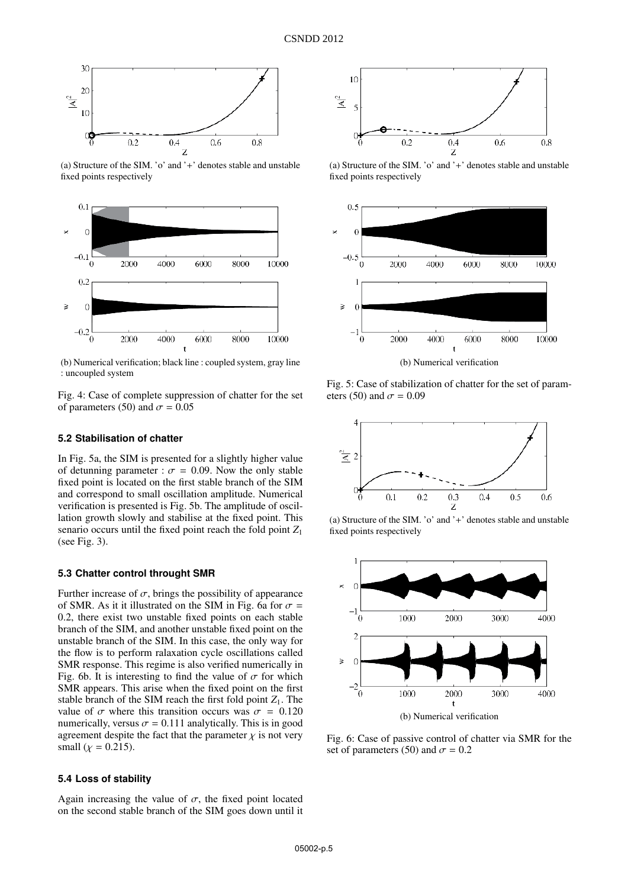

(a) Structure of the SIM. 'o' and '+' denotes stable and unstable fixed points respectively



(b) Numerical verification; black line : coupled system, gray line : uncoupled system

Fig. 4: Case of complete suppression of chatter for the set of parameters (50) and  $\sigma = 0.05$ 

#### **5.2 Stabilisation of chatter**

In Fig. 5a, the SIM is presented for a slightly higher value of detunning parameter :  $\sigma = 0.09$ . Now the only stable fixed point is located on the first stable branch of the SIM and correspond to small oscillation amplitude. Numerical verification is presented is Fig. 5b. The amplitude of oscillation growth slowly and stabilise at the fixed point. This senario occurs until the fixed point reach the fold point *Z*<sup>1</sup> (see Fig. 3).

#### **5.3 Chatter control throught SMR**

Further increase of  $\sigma$ , brings the possibility of appearance of SMR. As it it illustrated on the SIM in Fig. 6a for  $\sigma$  = <sup>0</sup>.2, there exist two unstable fixed points on each stable branch of the SIM, and another unstable fixed point on the unstable branch of the SIM. In this case, the only way for the flow is to perform ralaxation cycle oscillations called SMR response. This regime is also verified numerically in Fig. 6b. It is interesting to find the value of  $\sigma$  for which SMR appears. This arise when the fixed point on the first stable branch of the SIM reach the first fold point  $Z_1$ . The value of  $\sigma$  where this transition occurs was  $\sigma = 0.120$ numerically, versus  $\sigma = 0.111$  analytically. This is in good agreement despite the fact that the parameter  $\chi$  is not very small ( $\chi$  = 0.215).

### **5.4 Loss of stability**

Again increasing the value of  $\sigma$ , the fixed point located on the second stable branch of the SIM goes down until it



(a) Structure of the SIM. 'o' and '+' denotes stable and unstable fixed points respectively



Fig. 5: Case of stabilization of chatter for the set of parameters (50) and  $\sigma = 0.09$ 



(a) Structure of the SIM. 'o' and '+' denotes stable and unstable fixed points respectively



Fig. 6: Case of passive control of chatter via SMR for the set of parameters (50) and  $\sigma = 0.2$